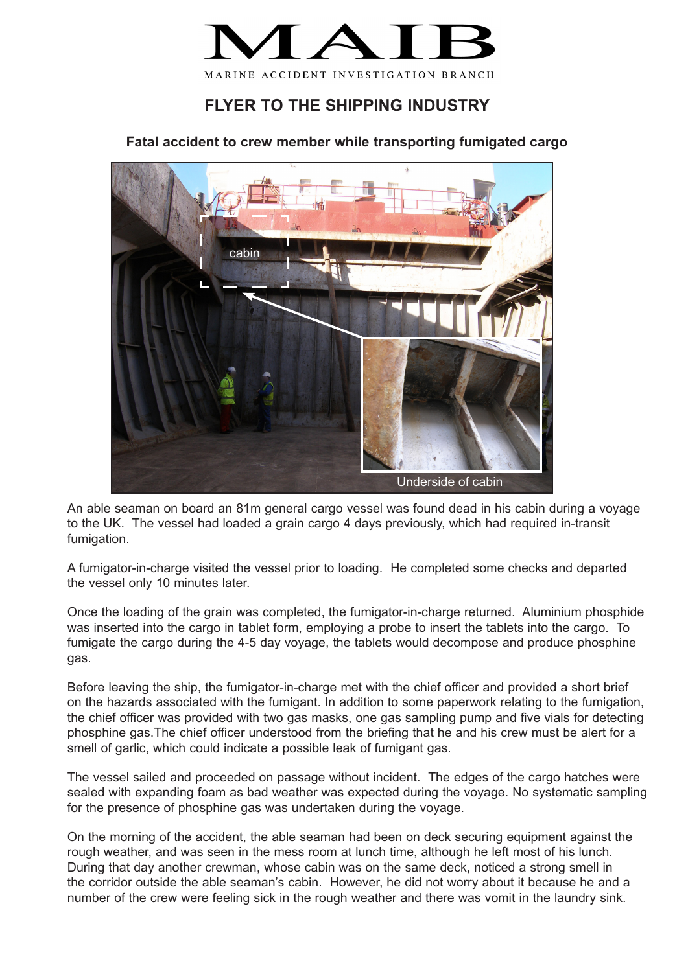

## **FLYER TO THE SHIPPING INDUSTRY**

**Fatal accident to crew member while transporting fumigated cargo**



An able seaman on board an 81m general cargo vessel was found dead in his cabin during a voyage to the UK. The vessel had loaded a grain cargo 4 days previously, which had required in-transit fumigation.

A fumigator-in-charge visited the vessel prior to loading. He completed some checks and departed the vessel only 10 minutes later.

Once the loading of the grain was completed, the fumigator-in-charge returned. Aluminium phosphide was inserted into the cargo in tablet form, employing a probe to insert the tablets into the cargo. To fumigate the cargo during the 4-5 day voyage, the tablets would decompose and produce phosphine gas.

Before leaving the ship, the fumigator-in-charge met with the chief officer and provided a short brief on the hazards associated with the fumigant. In addition to some paperwork relating to the fumigation, the chief officer was provided with two gas masks, one gas sampling pump and five vials for detecting phosphine gas.The chief officer understood from the briefing that he and his crew must be alert for a smell of garlic, which could indicate a possible leak of fumigant gas.

The vessel sailed and proceeded on passage without incident. The edges of the cargo hatches were sealed with expanding foam as bad weather was expected during the voyage. No systematic sampling for the presence of phosphine gas was undertaken during the voyage.

On the morning of the accident, the able seaman had been on deck securing equipment against the rough weather, and was seen in the mess room at lunch time, although he left most of his lunch. During that day another crewman, whose cabin was on the same deck, noticed a strong smell in the corridor outside the able seaman's cabin. However, he did not worry about it because he and a number of the crew were feeling sick in the rough weather and there was vomit in the laundry sink.